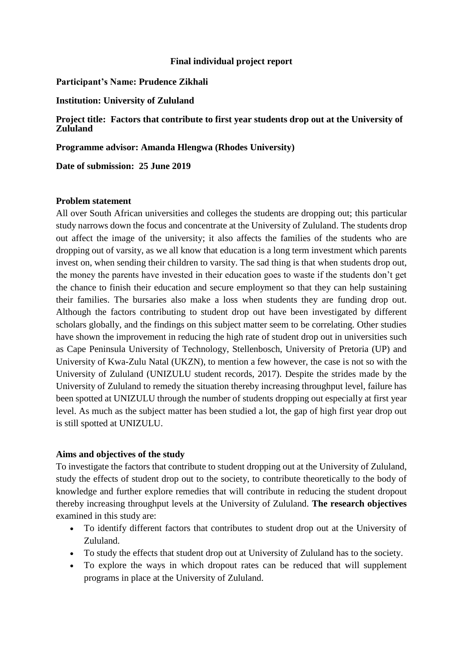### **Final individual project report**

### **Participant's Name: Prudence Zikhali**

#### **Institution: University of Zululand**

### **Project title: Factors that contribute to first year students drop out at the University of Zululand**

**Programme advisor: Amanda Hlengwa (Rhodes University)**

**Date of submission: 25 June 2019**

### **Problem statement**

All over South African universities and colleges the students are dropping out; this particular study narrows down the focus and concentrate at the University of Zululand. The students drop out affect the image of the university; it also affects the families of the students who are dropping out of varsity, as we all know that education is a long term investment which parents invest on, when sending their children to varsity. The sad thing is that when students drop out, the money the parents have invested in their education goes to waste if the students don't get the chance to finish their education and secure employment so that they can help sustaining their families. The bursaries also make a loss when students they are funding drop out. Although the factors contributing to student drop out have been investigated by different scholars globally, and the findings on this subject matter seem to be correlating. Other studies have shown the improvement in reducing the high rate of student drop out in universities such as Cape Peninsula University of Technology, Stellenbosch, University of Pretoria (UP) and University of Kwa-Zulu Natal (UKZN), to mention a few however, the case is not so with the University of Zululand (UNIZULU student records, 2017). Despite the strides made by the University of Zululand to remedy the situation thereby increasing throughput level, failure has been spotted at UNIZULU through the number of students dropping out especially at first year level. As much as the subject matter has been studied a lot, the gap of high first year drop out is still spotted at UNIZULU.

### **Aims and objectives of the study**

To investigate the factors that contribute to student dropping out at the University of Zululand, study the effects of student drop out to the society, to contribute theoretically to the body of knowledge and further explore remedies that will contribute in reducing the student dropout thereby increasing throughput levels at the University of Zululand. **The research objectives** examined in this study are:

- To identify different factors that contributes to student drop out at the University of Zululand.
- To study the effects that student drop out at University of Zululand has to the society.
- To explore the ways in which dropout rates can be reduced that will supplement programs in place at the University of Zululand.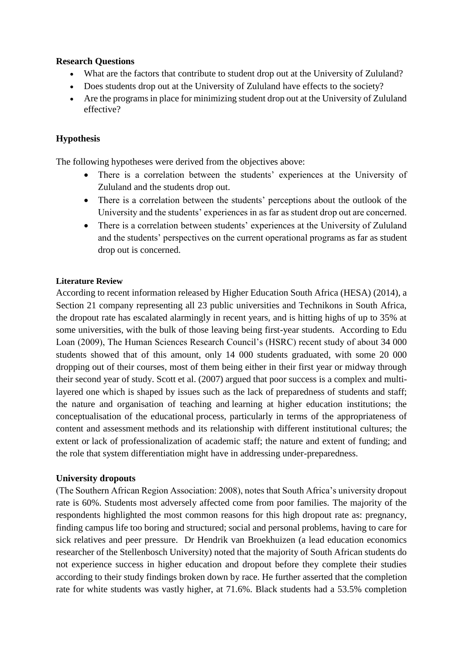# **Research Questions**

- What are the factors that contribute to student drop out at the University of Zululand?
- Does students drop out at the University of Zululand have effects to the society?
- Are the programs in place for minimizing student drop out at the University of Zululand effective?

# **Hypothesis**

The following hypotheses were derived from the objectives above:

- There is a correlation between the students' experiences at the University of Zululand and the students drop out.
- There is a correlation between the students' perceptions about the outlook of the University and the students' experiences in as far as student drop out are concerned.
- There is a correlation between students' experiences at the University of Zululand and the students' perspectives on the current operational programs as far as student drop out is concerned.

### **Literature Review**

According to recent information released by Higher Education South Africa (HESA) (2014), a Section 21 company representing all 23 public universities and Technikons in South Africa, the dropout rate has escalated alarmingly in recent years, and is hitting highs of up to 35% at some universities, with the bulk of those leaving being first-year students. According to Edu Loan (2009), The Human Sciences Research Council's (HSRC) recent study of about 34 000 students showed that of this amount, only 14 000 students graduated, with some 20 000 dropping out of their courses, most of them being either in their first year or midway through their second year of study. Scott et al. (2007) argued that poor success is a complex and multilayered one which is shaped by issues such as the lack of preparedness of students and staff; the nature and organisation of teaching and learning at higher education institutions; the conceptualisation of the educational process, particularly in terms of the appropriateness of content and assessment methods and its relationship with different institutional cultures; the extent or lack of professionalization of academic staff; the nature and extent of funding; and the role that system differentiation might have in addressing under-preparedness.

# **University dropouts**

(The Southern African Region Association: 2008), notes that South Africa's university dropout rate is 60%. Students most adversely affected come from poor families. The majority of the respondents highlighted the most common reasons for this high dropout rate as: pregnancy, finding campus life too boring and structured; social and personal problems, having to care for sick relatives and peer pressure. Dr Hendrik van Broekhuizen (a lead education economics researcher of the Stellenbosch University) noted that the majority of South African students do not experience success in higher education and dropout before they complete their studies according to their study findings broken down by race. He further asserted that the completion rate for white students was vastly higher, at 71.6%. Black students had a 53.5% completion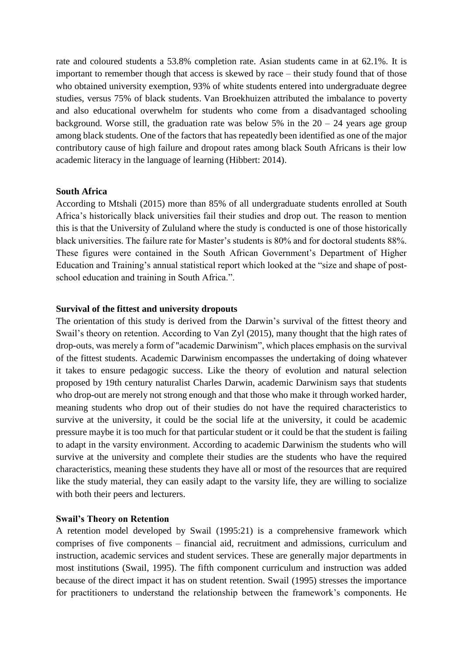rate and coloured students a 53.8% completion rate. Asian students came in at 62.1%. It is important to remember though that access is skewed by race – their study found that of those who obtained university exemption, 93% of white students entered into undergraduate degree studies, versus 75% of black students. Van Broekhuizen attributed the imbalance to poverty and also educational overwhelm for students who come from a disadvantaged schooling background. Worse still, the graduation rate was below 5% in the  $20 - 24$  years age group among black students. One of the factors that has repeatedly been identified as one of the major contributory cause of high failure and dropout rates among black South Africans is their low academic literacy in the language of learning (Hibbert: 2014).

#### **South Africa**

According to Mtshali (2015) more than 85% of all undergraduate students enrolled at South Africa's historically black universities fail their studies and drop out. The reason to mention this is that the University of Zululand where the study is conducted is one of those historically black universities. The failure rate for Master's students is 80% and for doctoral students 88%. These figures were contained in the South African Government's Department of Higher Education and Training's annual statistical report which looked at the "size and shape of postschool education and training in South Africa.".

#### **Survival of the fittest and university dropouts**

The orientation of this study is derived from the Darwin's survival of the fittest theory and Swail's theory on retention. According to Van Zyl (2015), many thought that the high rates of drop-outs, was merely a form of "academic Darwinism", which places emphasis on the survival of the fittest students. Academic Darwinism encompasses the undertaking of doing whatever it takes to ensure pedagogic success. Like the theory of evolution and natural selection proposed by 19th century naturalist Charles Darwin, academic Darwinism says that students who drop-out are merely not strong enough and that those who make it through worked harder, meaning students who drop out of their studies do not have the required characteristics to survive at the university, it could be the social life at the university, it could be academic pressure maybe it is too much for that particular student or it could be that the student is failing to adapt in the varsity environment. According to academic Darwinism the students who will survive at the university and complete their studies are the students who have the required characteristics, meaning these students they have all or most of the resources that are required like the study material, they can easily adapt to the varsity life, they are willing to socialize with both their peers and lecturers.

#### **Swail's Theory on Retention**

A retention model developed by Swail (1995:21) is a comprehensive framework which comprises of five components – financial aid, recruitment and admissions, curriculum and instruction, academic services and student services. These are generally major departments in most institutions (Swail, 1995). The fifth component curriculum and instruction was added because of the direct impact it has on student retention. Swail (1995) stresses the importance for practitioners to understand the relationship between the framework's components. He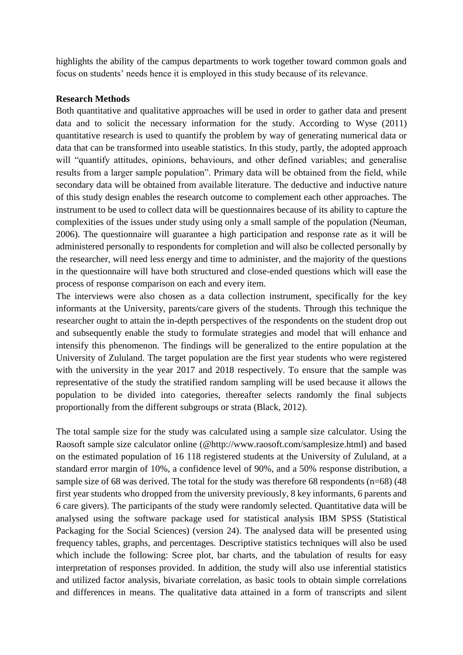highlights the ability of the campus departments to work together toward common goals and focus on students' needs hence it is employed in this study because of its relevance.

#### **Research Methods**

Both quantitative and qualitative approaches will be used in order to gather data and present data and to solicit the necessary information for the study. According to Wyse (2011) quantitative research is used to quantify the problem by way of generating numerical data or data that can be transformed into useable statistics. In this study, partly, the adopted approach will "quantify attitudes, opinions, behaviours, and other defined variables; and generalise results from a larger sample population". Primary data will be obtained from the field, while secondary data will be obtained from available literature. The deductive and inductive nature of this study design enables the research outcome to complement each other approaches. The instrument to be used to collect data will be questionnaires because of its ability to capture the complexities of the issues under study using only a small sample of the population (Neuman, 2006). The questionnaire will guarantee a high participation and response rate as it will be administered personally to respondents for completion and will also be collected personally by the researcher, will need less energy and time to administer, and the majority of the questions in the questionnaire will have both structured and close-ended questions which will ease the process of response comparison on each and every item.

The interviews were also chosen as a data collection instrument, specifically for the key informants at the University, parents/care givers of the students. Through this technique the researcher ought to attain the in-depth perspectives of the respondents on the student drop out and subsequently enable the study to formulate strategies and model that will enhance and intensify this phenomenon. The findings will be generalized to the entire population at the University of Zululand. The target population are the first year students who were registered with the university in the year 2017 and 2018 respectively. To ensure that the sample was representative of the study the stratified random sampling will be used because it allows the population to be divided into categories, thereafter selects randomly the final subjects proportionally from the different subgroups or strata (Black, 2012).

The total sample size for the study was calculated using a sample size calculator. Using the Raosoft sample size calculator online (@http://www.raosoft.com/samplesize.html) and based on the estimated population of 16 118 registered students at the University of Zululand, at a standard error margin of 10%, a confidence level of 90%, and a 50% response distribution, a sample size of 68 was derived. The total for the study was therefore 68 respondents (n=68) (48 first year students who dropped from the university previously, 8 key informants, 6 parents and 6 care givers). The participants of the study were randomly selected. Quantitative data will be analysed using the software package used for statistical analysis IBM SPSS (Statistical Packaging for the Social Sciences) (version 24). The analysed data will be presented using frequency tables, graphs, and percentages. Descriptive statistics techniques will also be used which include the following: Scree plot, bar charts, and the tabulation of results for easy interpretation of responses provided. In addition, the study will also use inferential statistics and utilized factor analysis, bivariate correlation, as basic tools to obtain simple correlations and differences in means. The qualitative data attained in a form of transcripts and silent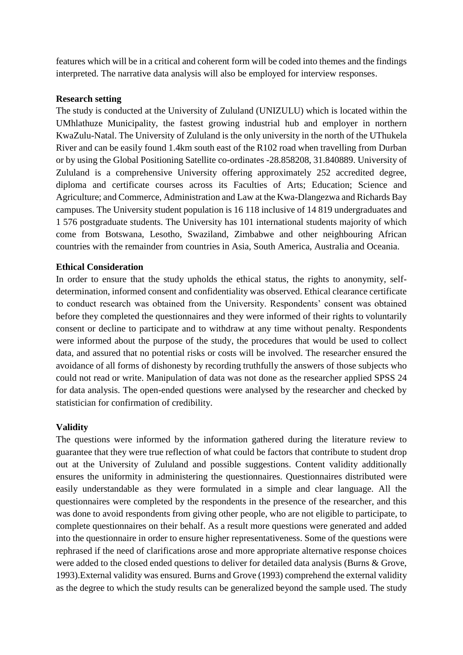features which will be in a critical and coherent form will be coded into themes and the findings interpreted. The narrative data analysis will also be employed for interview responses.

### **Research setting**

The study is conducted at the University of Zululand (UNIZULU) which is located within the UMhlathuze Municipality, the fastest growing industrial hub and employer in northern KwaZulu-Natal. The University of Zululand is the only university in the north of the UThukela River and can be easily found 1.4km south east of the R102 road when travelling from Durban or by using the Global Positioning Satellite co-ordinates -28.858208, 31.840889. University of Zululand is a comprehensive University offering approximately 252 accredited degree, diploma and certificate courses across its Faculties of Arts; Education; Science and Agriculture; and Commerce, Administration and Law at the Kwa-Dlangezwa and Richards Bay campuses. The University student population is 16 118 inclusive of 14 819 undergraduates and 1 576 postgraduate students. The University has 101 international students majority of which come from Botswana, Lesotho, Swaziland, Zimbabwe and other neighbouring African countries with the remainder from countries in Asia, South America, Australia and Oceania.

# **Ethical Consideration**

In order to ensure that the study upholds the ethical status, the rights to anonymity, selfdetermination, informed consent and confidentiality was observed. Ethical clearance certificate to conduct research was obtained from the University. Respondents' consent was obtained before they completed the questionnaires and they were informed of their rights to voluntarily consent or decline to participate and to withdraw at any time without penalty. Respondents were informed about the purpose of the study, the procedures that would be used to collect data, and assured that no potential risks or costs will be involved. The researcher ensured the avoidance of all forms of dishonesty by recording truthfully the answers of those subjects who could not read or write. Manipulation of data was not done as the researcher applied SPSS 24 for data analysis. The open-ended questions were analysed by the researcher and checked by statistician for confirmation of credibility.

# **Validity**

The questions were informed by the information gathered during the literature review to guarantee that they were true reflection of what could be factors that contribute to student drop out at the University of Zululand and possible suggestions. Content validity additionally ensures the uniformity in administering the questionnaires. Questionnaires distributed were easily understandable as they were formulated in a simple and clear language. All the questionnaires were completed by the respondents in the presence of the researcher, and this was done to avoid respondents from giving other people, who are not eligible to participate, to complete questionnaires on their behalf. As a result more questions were generated and added into the questionnaire in order to ensure higher representativeness. Some of the questions were rephrased if the need of clarifications arose and more appropriate alternative response choices were added to the closed ended questions to deliver for detailed data analysis (Burns & Grove, 1993).External validity was ensured. Burns and Grove (1993) comprehend the external validity as the degree to which the study results can be generalized beyond the sample used. The study